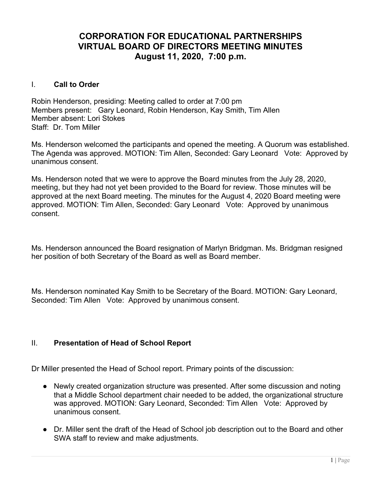# **CORPORATION FOR EDUCATIONAL PARTNERSHIPS VIRTUAL BOARD OF DIRECTORS MEETING MINUTES August 11, 2020, 7:00 p.m.**

## I. **Call to Order**

Robin Henderson, presiding: Meeting called to order at 7:00 pm Members present: Gary Leonard, Robin Henderson, Kay Smith, Tim Allen Member absent: Lori Stokes Staff: Dr. Tom Miller

Ms. Henderson welcomed the participants and opened the meeting. A Quorum was established. The Agenda was approved. MOTION: Tim Allen, Seconded: Gary Leonard Vote: Approved by unanimous consent.

Ms. Henderson noted that we were to approve the Board minutes from the July 28, 2020, meeting, but they had not yet been provided to the Board for review. Those minutes will be approved at the next Board meeting. The minutes for the August 4, 2020 Board meeting were approved. MOTION: Tim Allen, Seconded: Gary Leonard Vote: Approved by unanimous consent.

Ms. Henderson announced the Board resignation of Marlyn Bridgman. Ms. Bridgman resigned her position of both Secretary of the Board as well as Board member.

Ms. Henderson nominated Kay Smith to be Secretary of the Board. MOTION: Gary Leonard, Seconded: Tim Allen Vote: Approved by unanimous consent.

#### II. **Presentation of Head of School Report**

Dr Miller presented the Head of School report. Primary points of the discussion:

- Newly created organization structure was presented. After some discussion and noting that a Middle School department chair needed to be added, the organizational structure was approved. MOTION: Gary Leonard, Seconded: Tim Allen Vote: Approved by unanimous consent.
- Dr. Miller sent the draft of the Head of School job description out to the Board and other SWA staff to review and make adjustments.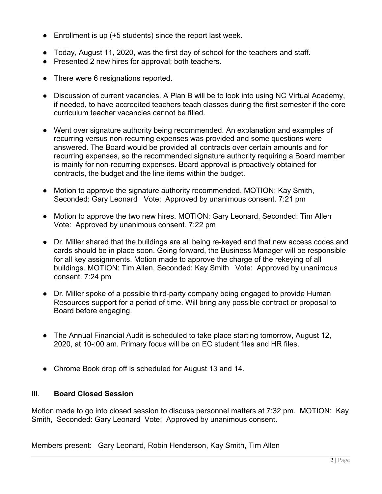- $\bullet$  Enrollment is up (+5 students) since the report last week.
- Today, August 11, 2020, was the first day of school for the teachers and staff.
- Presented 2 new hires for approval; both teachers.
- There were 6 resignations reported.
- Discussion of current vacancies. A Plan B will be to look into using NC Virtual Academy, if needed, to have accredited teachers teach classes during the first semester if the core curriculum teacher vacancies cannot be filled.
- Went over signature authority being recommended. An explanation and examples of recurring versus non-recurring expenses was provided and some questions were answered. The Board would be provided all contracts over certain amounts and for recurring expenses, so the recommended signature authority requiring a Board member is mainly for non-recurring expenses. Board approval is proactively obtained for contracts, the budget and the line items within the budget.
- Motion to approve the signature authority recommended. MOTION: Kay Smith, Seconded: Gary Leonard Vote: Approved by unanimous consent. 7:21 pm
- Motion to approve the two new hires. MOTION: Gary Leonard, Seconded: Tim Allen Vote: Approved by unanimous consent. 7:22 pm
- Dr. Miller shared that the buildings are all being re-keyed and that new access codes and cards should be in place soon. Going forward, the Business Manager will be responsible for all key assignments. Motion made to approve the charge of the rekeying of all buildings. MOTION: Tim Allen, Seconded: Kay Smith Vote: Approved by unanimous consent. 7:24 pm
- Dr. Miller spoke of a possible third-party company being engaged to provide Human Resources support for a period of time. Will bring any possible contract or proposal to Board before engaging.
- The Annual Financial Audit is scheduled to take place starting tomorrow, August 12, 2020, at 10-:00 am. Primary focus will be on EC student files and HR files.
- Chrome Book drop off is scheduled for August 13 and 14.

#### III. **Board Closed Session**

Motion made to go into closed session to discuss personnel matters at 7:32 pm. MOTION: Kay Smith, Seconded: Gary Leonard Vote: Approved by unanimous consent.

Members present: Gary Leonard, Robin Henderson, Kay Smith, Tim Allen